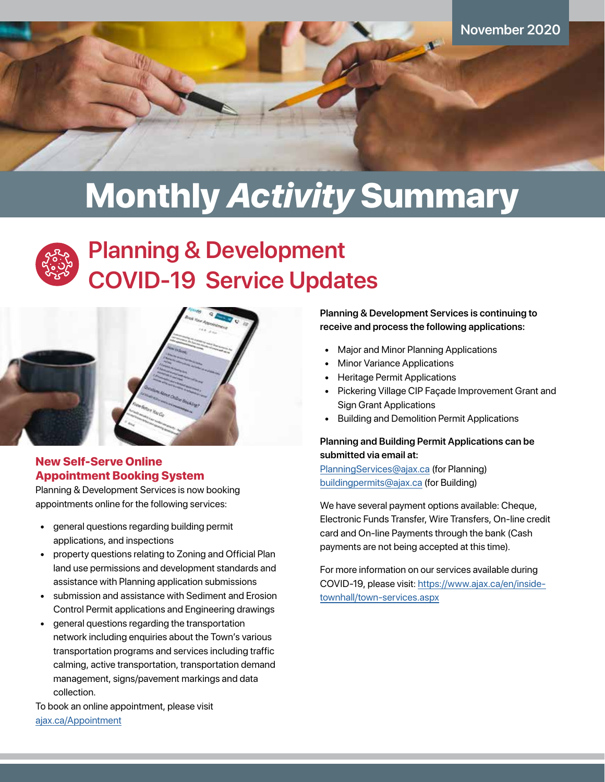

# Monthly *Activity* Summary



## **Planning & Development COVID-19 Service Updates**



### New Self-Serve Online Appointment Booking System

Planning & Development Services is now booking appointments online for the following services:

- general questions regarding building permit applications, and inspections
- property questions relating to Zoning and Official Plan land use permissions and development standards and assistance with Planning application submissions
- submission and assistance with Sediment and Erosion Control Permit applications and Engineering drawings
- general questions regarding the transportation network including enquiries about the Town's various transportation programs and services including traffic calming, active transportation, transportation demand management, signs/pavement markings and data collection.

To book an online appointment, please visit [ajax.ca/Appointment]( https://www.ajax.ca/en/apply-register-and-pay/book-your-appointment.aspx)

**Planning & Development Services is continuing to receive and process the following applications:**

- Major and Minor Planning Applications
- **Minor Variance Applications**
- Heritage Permit Applications
- Pickering Village CIP Façade Improvement Grant and Sign Grant Applications
- Building and Demolition Permit Applications

### **Planning and Building Permit Applications can be submitted via email at:**

[PlanningServices@ajax.ca](mailto:PlanningServices%40ajax.ca?subject=) (for Planning) [buildingpermits@ajax.ca](mailto:buildingpermits%40ajax.ca?subject=) (for Building)

We have several payment options available: Cheque, Electronic Funds Transfer, Wire Transfers, On-line credit card and On-line Payments through the bank (Cash payments are not being accepted at this time).

For more information on our services available during COVID-19, please visit: [https://www.ajax.ca/en/inside](https://www.ajax.ca/en/inside-townhall/town-services.aspx)[townhall/town-services.aspx](https://www.ajax.ca/en/inside-townhall/town-services.aspx)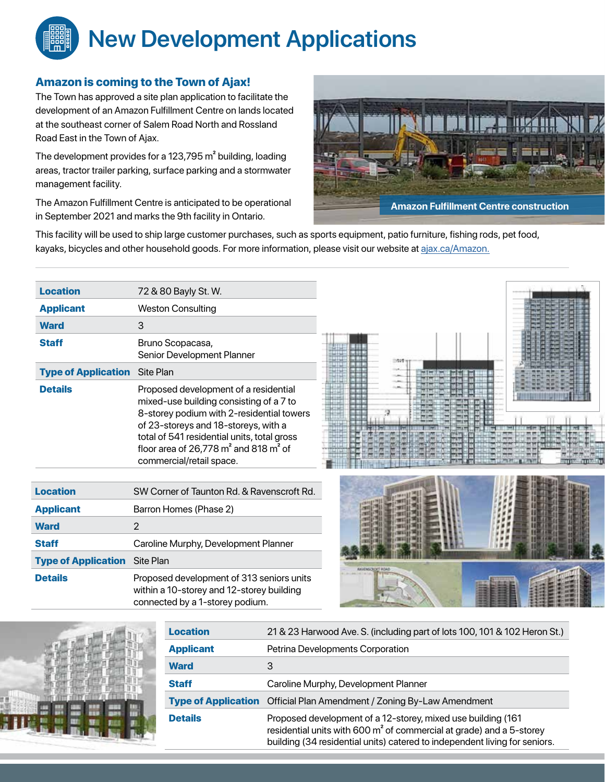## **New Development Applications**

### Amazon is coming to the Town of Ajax!

The Town has approved a site plan application to facilitate the development of an Amazon Fulfillment Centre on lands located at the southeast corner of Salem Road North and Rossland Road East in the Town of Ajax.

The development provides for a 123,795 m² building, loading areas, tractor trailer parking, surface parking and a stormwater management facility.

The Amazon Fulfillment Centre is anticipated to be operational in September 2021 and marks the 9th facility in Ontario.

connected by a 1-storey podium.



This facility will be used to ship large customer purchases, such as sports equipment, patio furniture, fishing rods, pet food, kayaks, bicycles and other household goods. For more information, please visit our website at [ajax.ca/Amazon](https://www.ajax.ca/en/amazon-announces-plans-to-build-new-fulfillment-centre-in-ajax.aspx).

| <b>Location</b>            | 72 & 80 Bayly St. W.                                                                                                                                                                                                                                                                          |  |
|----------------------------|-----------------------------------------------------------------------------------------------------------------------------------------------------------------------------------------------------------------------------------------------------------------------------------------------|--|
| <b>Applicant</b>           | <b>Weston Consulting</b>                                                                                                                                                                                                                                                                      |  |
| <b>Ward</b>                | 3                                                                                                                                                                                                                                                                                             |  |
| <b>Staff</b>               | Bruno Scopacasa,<br>Senior Development Planner                                                                                                                                                                                                                                                |  |
| <b>Type of Application</b> | Site Plan                                                                                                                                                                                                                                                                                     |  |
| <b>Details</b>             | Proposed development of a residential<br>mixed-use building consisting of a 7 to<br>8-storey podium with 2-residential towers<br>of 23-storeys and 18-storeys, with a<br>total of 541 residential units, total gross<br>floor area of 26,778 $m2$ and 818 $m2$ of<br>commercial/retail space. |  |
| <b>Location</b>            | SW Corner of Taunton Rd. & Ravenscroft Rd.                                                                                                                                                                                                                                                    |  |
| <b>Applicant</b>           | Barron Homes (Phase 2)                                                                                                                                                                                                                                                                        |  |
| <b>Ward</b>                | $\overline{2}$                                                                                                                                                                                                                                                                                |  |
| <b>Staff</b>               | Caroline Murphy, Development Planner                                                                                                                                                                                                                                                          |  |
| <b>Type of Application</b> | Site Plan                                                                                                                                                                                                                                                                                     |  |
| <b>Details</b>             | Proposed development of 313 seniors units<br>within a 10-storey and 12-storey building                                                                                                                                                                                                        |  |



| <b>Location</b>            | 21 & 23 Harwood Ave. S. (including part of lots 100, 101 & 102 Heron St.)                                                                                                                                                       |  |
|----------------------------|---------------------------------------------------------------------------------------------------------------------------------------------------------------------------------------------------------------------------------|--|
| <b>Applicant</b>           | Petrina Developments Corporation                                                                                                                                                                                                |  |
| <b>Ward</b>                | 3                                                                                                                                                                                                                               |  |
| <b>Staff</b>               | Caroline Murphy, Development Planner                                                                                                                                                                                            |  |
| <b>Type of Application</b> | Official Plan Amendment / Zoning By-Law Amendment                                                                                                                                                                               |  |
| <b>Details</b>             | Proposed development of a 12-storey, mixed use building (161)<br>residential units with 600 m <sup>2</sup> of commercial at grade) and a 5-storey<br>building (34 residential units) catered to independent living for seniors. |  |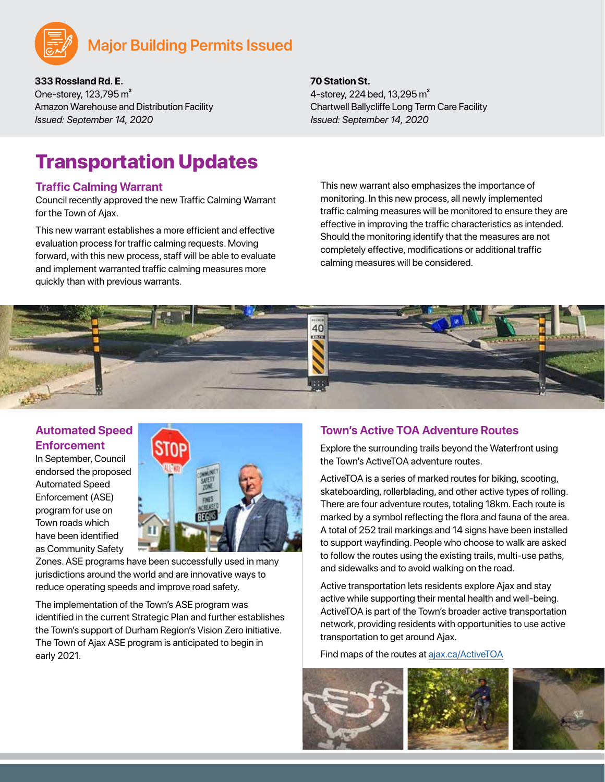

**333 Rossland Rd. E.** One-storey, 123,795 m² Amazon Warehouse and Distribution Facility *Issued: September 14, 2020*

#### **70 Station St.**

4-storey, 224 bed, 13, 295 m<sup>2</sup> Chartwell Ballycliffe Long Term Care Facility *Issued: September 14, 2020*

### Transportation Updates

#### **Traffic Calming Warrant**

Council recently approved the new Traffic Calming Warrant for the Town of Ajax.

This new warrant establishes a more efficient and effective evaluation process for traffic calming requests. Moving forward, with this new process, staff will be able to evaluate and implement warranted traffic calming measures more quickly than with previous warrants.

This new warrant also emphasizes the importance of monitoring. In this new process, all newly implemented traffic calming measures will be monitored to ensure they are effective in improving the traffic characteristics as intended. Should the monitoring identify that the measures are not completely effective, modifications or additional traffic calming measures will be considered.



### **Automated Speed Enforcement**

In September, Council endorsed the proposed Automated Speed Enforcement (ASE) program for use on Town roads which have been identified as Community Safety



Zones. ASE programs have been successfully used in many jurisdictions around the world and are innovative ways to reduce operating speeds and improve road safety.

The implementation of the Town's ASE program was identified in the current Strategic Plan and further establishes the Town's support of Durham Region's Vision Zero initiative. The Town of Ajax ASE program is anticipated to begin in early 2021.

### **Town's Active TOA Adventure Routes**

Explore the surrounding trails beyond the Waterfront using the Town's ActiveTOA adventure routes.

ActiveTOA is a series of marked routes for biking, scooting, skateboarding, rollerblading, and other active types of rolling. There are four adventure routes, totaling 18km. Each route is marked by a symbol reflecting the flora and fauna of the area. A total of 252 trail markings and 14 signs have been installed to support wayfinding. People who choose to walk are asked to follow the routes using the existing trails, multi-use paths, and sidewalks and to avoid walking on the road.

Active transportation lets residents explore Ajax and stay active while supporting their mental health and well-being. ActiveTOA is part of the Town's broader active transportation network, providing residents with opportunities to use active transportation to get around Ajax.

Find maps of the routes at [ajax.ca/ActiveTOA](https://www.ajax.ca/en/inside-townhall/cycling.aspx)